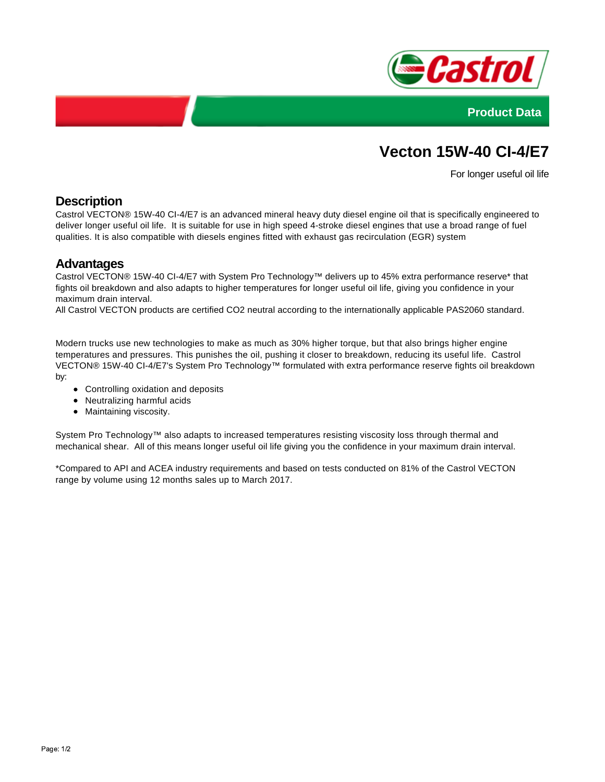



# **Vecton 15W-40 CI-4/E7**

For longer useful oil life

# **Description**

Castrol VECTON® 15W-40 CI-4/E7 is an advanced mineral heavy duty diesel engine oil that is specifically engineered to deliver longer useful oil life. It is suitable for use in high speed 4-stroke diesel engines that use a broad range of fuel qualities. It is also compatible with diesels engines fitted with exhaust gas recirculation (EGR) system

#### **Advantages**

Castrol VECTON® 15W-40 CI-4/E7 with System Pro Technology™ delivers up to 45% extra performance reserve\* that fights oil breakdown and also adapts to higher temperatures for longer useful oil life, giving you confidence in your maximum drain interval.

All Castrol VECTON products are certified CO2 neutral according to the internationally applicable PAS2060 standard.

Modern trucks use new technologies to make as much as 30% higher torque, but that also brings higher engine temperatures and pressures. This punishes the oil, pushing it closer to breakdown, reducing its useful life. Castrol VECTON® 15W-40 CI-4/E7's System Pro Technology™ formulated with extra performance reserve fights oil breakdown by:

- Controlling oxidation and deposits
- Neutralizing harmful acids
- Maintaining viscosity.

System Pro Technology™ also adapts to increased temperatures resisting viscosity loss through thermal and mechanical shear. All of this means longer useful oil life giving you the confidence in your maximum drain interval.

\*Compared to API and ACEA industry requirements and based on tests conducted on 81% of the Castrol VECTON range by volume using 12 months sales up to March 2017.